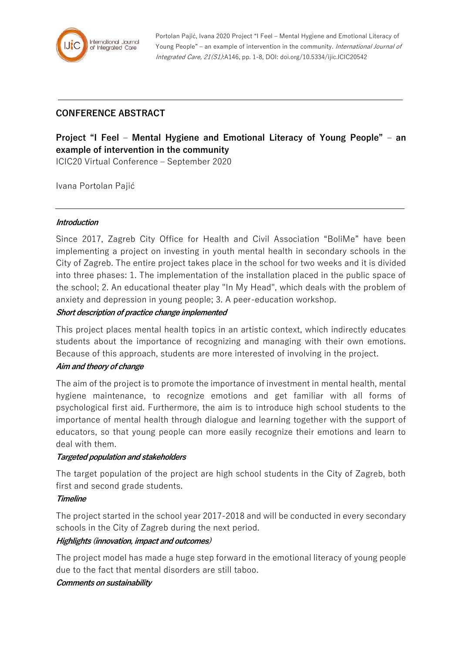

Portolan Pajić, Ivana 2020 Project "I Feel – Mental Hygiene and Emotional Literacy of Young People" – an example of intervention in the community. International Journal of Integrated Care, 21(S1):A146, pp. 1-8, DOI: doi.org/10.5334/ijic.ICIC20542

# **CONFERENCE ABSTRACT**

# **Project "I Feel – Mental Hygiene and Emotional Literacy of Young People" – an example of intervention in the community**

ICIC20 Virtual Conference – September 2020

Ivana Portolan Pajić

#### **Introduction**

Since 2017, Zagreb City Office for Health and Civil Association "BoliMe" have been implementing a project on investing in youth mental health in secondary schools in the City of Zagreb. The entire project takes place in the school for two weeks and it is divided into three phases: 1. The implementation of the installation placed in the public space of the school; 2. An educational theater play "In My Head", which deals with the problem of anxiety and depression in young people; 3. A peer-education workshop.

#### **Short description of practice change implemented**

This project places mental health topics in an artistic context, which indirectly educates students about the importance of recognizing and managing with their own emotions. Because of this approach, students are more interested of involving in the project.

### **Aim and theory of change**

The aim of the project is to promote the importance of investment in mental health, mental hygiene maintenance, to recognize emotions and get familiar with all forms of psychological first aid. Furthermore, the aim is to introduce high school students to the importance of mental health through dialogue and learning together with the support of educators, so that young people can more easily recognize their emotions and learn to deal with them.

### **Targeted population and stakeholders**

The target population of the project are high school students in the City of Zagreb, both first and second grade students.

### **Timeline**

The project started in the school year 2017-2018 and will be conducted in every secondary schools in the City of Zagreb during the next period.

### **Highlights (innovation, impact and outcomes)**

The project model has made a huge step forward in the emotional literacy of young people due to the fact that mental disorders are still taboo.

### **Comments on sustainability**